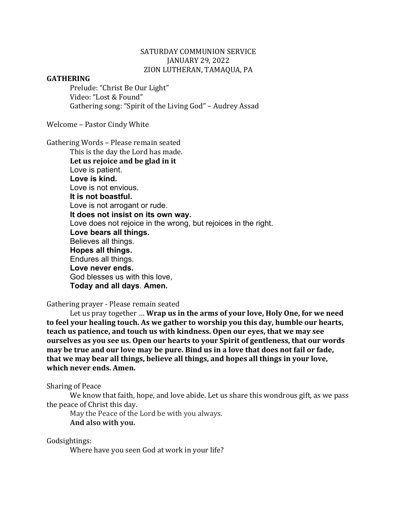# SATURDAY COMMUNION SERVICE JANUARY 29, 2022 ZION LUTHERAN, TAMAQUA, PA

#### **GATHERING**

Prelude: "Christ Be Our Light" Video: "Lost & Found" Gathering song: "Spirit of the Living God" - Audrey Assad

Welcome - Pastor Cindy White

Gathering Words - Please remain seated

This is the day the Lord has made. Let us rejoice and be glad in it Love is patient. **Love is kind.** Love is not envious. **It is not boastful.** Love is not arrogant or rude. **It does not insist on its own way.** Love does not rejoice in the wrong, but rejoices in the right. **Love bears all things.** Believes all things. **Hopes all things.** Endures all things. **Love never ends.** God blesses us with this love, **Today and all days**. **Amen.**

Gathering prayer - Please remain seated

Let us pray together ... Wrap us in the arms of your love, Holy One, for we need to feel your healing touch. As we gather to worship you this day, humble our hearts, teach us patience, and touch us with kindness. Open our eyes, that we may see **ourselves as you see us. Open our hearts to your Spirit of gentleness, that our words** may be true and our love may be pure. Bind us in a love that does not fail or fade, **that** we may bear all things, believe all things, and hopes all things in your love, which never ends. Amen.

Sharing of Peace

We know that faith, hope, and love abide. Let us share this wondrous gift, as we pass the peace of Christ this day.

May the Peace of the Lord be with you always. **And also with you.**

Godsightings:

Where have you seen God at work in your life?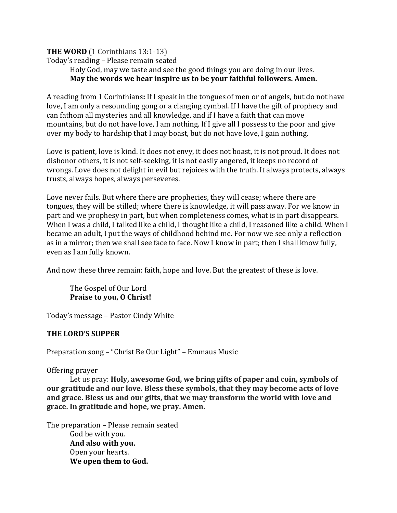# **THE WORD** (1 Corinthians 13:1-13)

Today's reading - Please remain seated

Holy God, may we taste and see the good things you are doing in our lives. **May the words we hear inspire us to be your faithful followers. Amen.** 

A reading from 1 Corinthians: If I speak in the tongues of men or of angels, but do not have love, I am only a resounding gong or a clanging cymbal. If I have the gift of prophecy and can fathom all mysteries and all knowledge, and if I have a faith that can move mountains, but do not have love, I am nothing. If I give all I possess to the poor and give over my body to hardship that I may boast, but do not have love, I gain nothing.

Love is patient, love is kind. It does not envy, it does not boast, it is not proud. It does not dishonor others, it is not self-seeking, it is not easily angered, it keeps no record of wrongs. Love does not delight in evil but rejoices with the truth. It always protects, always trusts, always hopes, always perseveres.

Love never fails. But where there are prophecies, they will cease; where there are tongues, they will be stilled; where there is knowledge, it will pass away. For we know in part and we prophesy in part, but when completeness comes, what is in part disappears. When I was a child, I talked like a child, I thought like a child, I reasoned like a child. When I became an adult, I put the ways of childhood behind me. For now we see only a reflection as in a mirror; then we shall see face to face. Now I know in part; then I shall know fully, even as I am fully known.

And now these three remain: faith, hope and love. But the greatest of these is love.

The Gospel of Our Lord **Praise to you, O Christ!** 

Today's message - Pastor Cindy White

# **THE LORD'S SUPPER**

Preparation song – "Christ Be Our Light" – Emmaus Music

Offering prayer

Let us pray: Holy, awesome God, we bring gifts of paper and coin, symbols of **our gratitude and our love. Bless these symbols, that they may become acts of love** and grace. Bless us and our gifts, that we may transform the world with love and **grace. In gratitude and hope, we pray. Amen.**

The preparation – Please remain seated God be with you. And also with you. Open your hearts. We open them to God.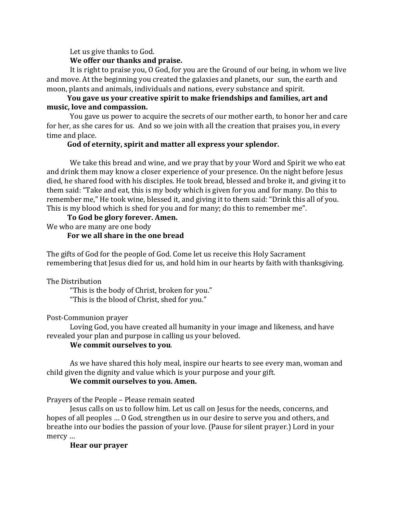Let us give thanks to God.

## **We offer our thanks and praise.**

It is right to praise you, O God, for you are the Ground of our being, in whom we live and move. At the beginning you created the galaxies and planets, our sun, the earth and moon, plants and animals, individuals and nations, every substance and spirit.

# **You gave us your creative spirit to make friendships and families, art and** music, love and compassion.

You gave us power to acquire the secrets of our mother earth, to honor her and care for her, as she cares for us. And so we join with all the creation that praises you, in every time and place.

## God of eternity, spirit and matter all express your splendor.

We take this bread and wine, and we pray that by your Word and Spirit we who eat and drink them may know a closer experience of your presence. On the night before Jesus died, he shared food with his disciples. He took bread, blessed and broke it, and giving it to them said: "Take and eat, this is my body which is given for you and for many. Do this to remember me," He took wine, blessed it, and giving it to them said: "Drink this all of you. This is my blood which is shed for you and for many; do this to remember me".

## To God be glory forever. Amen.

We who are many are one body

# For we all share in the one bread

The gifts of God for the people of God. Come let us receive this Holy Sacrament remembering that Jesus died for us, and hold him in our hearts by faith with thanksgiving.

#### The Distribution

"This is the body of Christ, broken for you." "This is the blood of Christ, shed for you."

# Post-Communion prayer

Loving God, you have created all humanity in your image and likeness, and have revealed your plan and purpose in calling us your beloved.

# **We commit ourselves to you.**

As we have shared this holy meal, inspire our hearts to see every man, woman and child given the dignity and value which is your purpose and your gift.

#### **We commit ourselves to you. Amen.**

Prayers of the People - Please remain seated

Jesus calls on us to follow him. Let us call on Jesus for the needs, concerns, and hopes of all peoples ... O God, strengthen us in our desire to serve you and others, and breathe into our bodies the passion of your love. (Pause for silent prayer.) Lord in your mercy ...

# **Hear our prayer**